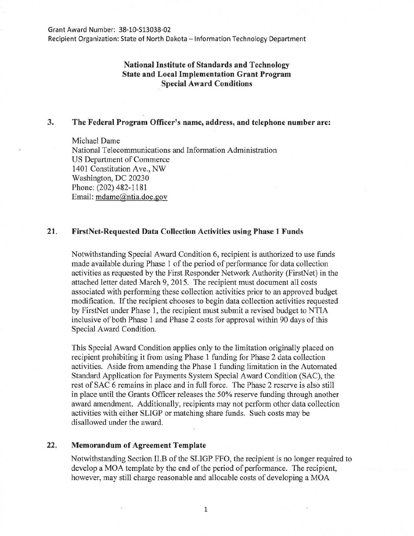Recipient Organization: State of North Dakota - Information Technology Department

# **National Institute of Standards and Technology State and Local Implementation Grant Program Special Award Conditions**

### **3. The Federal Program Officer's name, address, and telephone number are:**

Michael Dame National Telecommunications and Information Administration US Department of Commerce 1401 Constitution Ave., NW Washington, DC 20230 Phone: (202) 482-1181 Email: mdame@ntia.doc.gov

#### **21. FirstNet-Requested Data Collection Activities using Phase 1 Funds**

Notwithstanding Special Award Condition 6, recipient is authorized to use funds made available during Phase 1 of the period of performance for data collection activities as requested by the First Responder Network Authority (FirstNet) in the attached letter dated March 9, 2015. The recipient must document all costs associated with performing these collection activities prior to an approved budget modification. If the recipient chooses to begin data collection activities requested by FirstNet under Phase 1, the recipient must submit a revised budget to NTIA inclusive of both Phase 1 and Phase 2 costs for approval within 90 days of this Special Award Condition.

This Special Award Condition applies only to the limitation originally placed on recipient prohibiting it from using Phase 1 funding for Phase 2 data collection activities. Aside from amending the Phase 1 funding limitation in the Automated Standard Application for Payments System Special Award Condition (SAC), the rest of SAC 6 remains in place and in full force. The Phase 2 reserve is also still in place until the Grants Officer releases the 50% reserve funding through another award amendment. Additionally, recipients may not perform other data collection activities with either SLIGP or matching share funds. Such costs may be disallowed under the award.

## **22. Memorandum of Agreement Template**

Notwithstanding Section II.B of the SLIGP FFO, the recipient is no longer required to develop a MOA template by the end of the period of performance. The recipient, however, may still charge reasonable and allocable costs of developing a MOA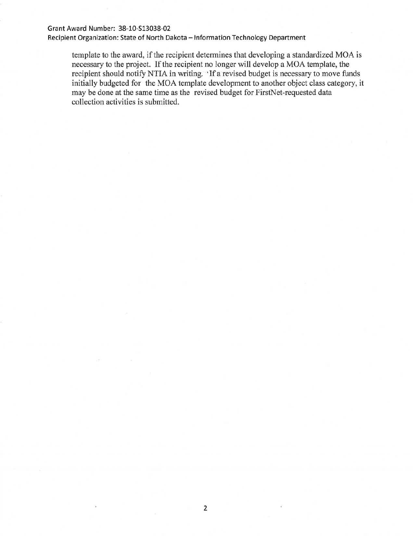#### Grant Award Number: 38-10-513038-02

Recipient Organization: State of North Dakota - Information Technology Department

template to the award, if the recipient determines that developing a standardized MOA is necessary to the project. If the recipient no longer will develop a MOA template, the recipient should notify NTIA in writing. 'If a revised budget is necessary to move funds initially budgeted for the MOA template development to another object class category, it may be done at the same time as the revised budget for FirstNet-requested data collection activities is submitted.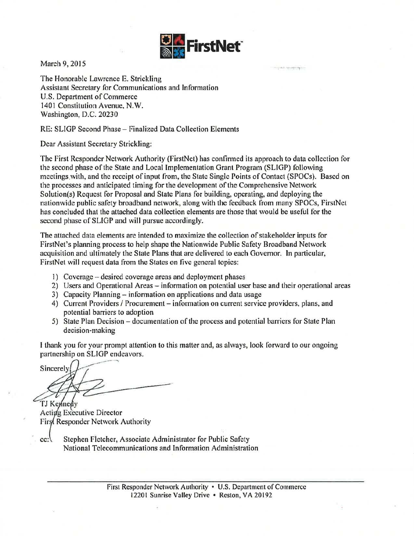

 $\rightarrow$ 

March 9, 2015

The Honorable Lawrence E. Strickling Assistant Secretary for Communications and Information U.S. Department of Commerce 1401 Constitution Avenue, N.W. Washington, D.C. 20230

RE: SLIGP Second Phase- Finalized Data Collection Elements

Dear Assistant Secretary Strickling:

The First Responder Network Authority (FirstNet) has confirmed its approach to data collection for the second phase of the State and Local Implementation Grant Program (SLIGP) following meetings.with, and the receipt of input from, the State Single Points of Contact (SPOCs). Based on the processes and anticipated timing for the development of the Comprehensive Network Solution(s) Request for Proposal and State Plans for building, operating, and deploying the nationwide public safety broadband network, along with the feedback from many SPOCs, FirstNet has concluded that the attached data collection elements are those that would be useful for the second phase of SLIGP and will pursue accordingly.

The attached data elements are intended to maximize the collection of stakeholder inputs for FirstNet's planning process to help shape the Nationwide Public Safety Broadband Network acquisition and ultimately the State Plans that are delivered to each Governor. In particular, FirstNet will request data from the States on five general topics:

- 1) Coverage- desired coverage areas and deployment phases
- 2) Users and Operational Areas information on potential user base and their operational areas
- 3) Capacity Planning- information on applications and data usage
- 4) Current Providers / Procurement information on current service providers, plans, and potential barriers to adoption
- 5) State Plan Decision documentation of the process and potential barriers for State Plan decision-making

I thank you for your prompt attention to this matter and, as always, look forward to our ongoing partnership on SLIGP endeavors.

Sincerely

TJ Kennedy Acting Executive Director Firs Responder Network Authority

cc: Stephen Fletcher, Associate Administrator for Public Safety National Telecommunications and Information Administration